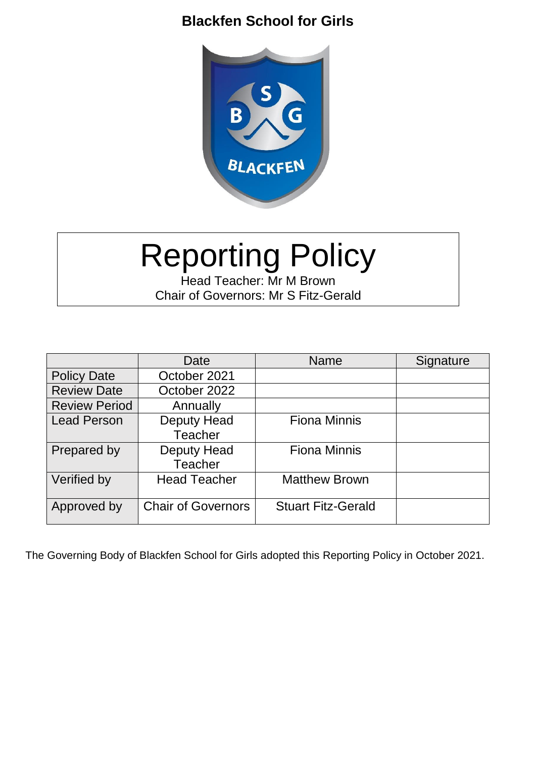### **Blackfen School for Girls**



# Reporting Policy

Head Teacher: Mr M Brown Chair of Governors: Mr S Fitz-Gerald

|                      | Date                      | <b>Name</b>               | Signature |
|----------------------|---------------------------|---------------------------|-----------|
| <b>Policy Date</b>   | October 2021              |                           |           |
| <b>Review Date</b>   | October 2022              |                           |           |
| <b>Review Period</b> | Annually                  |                           |           |
| <b>Lead Person</b>   | Deputy Head               | <b>Fiona Minnis</b>       |           |
|                      | <b>Teacher</b>            |                           |           |
| Prepared by          | Deputy Head               | <b>Fiona Minnis</b>       |           |
|                      | <b>Teacher</b>            |                           |           |
| Verified by          | <b>Head Teacher</b>       | <b>Matthew Brown</b>      |           |
|                      |                           |                           |           |
| Approved by          | <b>Chair of Governors</b> | <b>Stuart Fitz-Gerald</b> |           |
|                      |                           |                           |           |

The Governing Body of Blackfen School for Girls adopted this Reporting Policy in October 2021.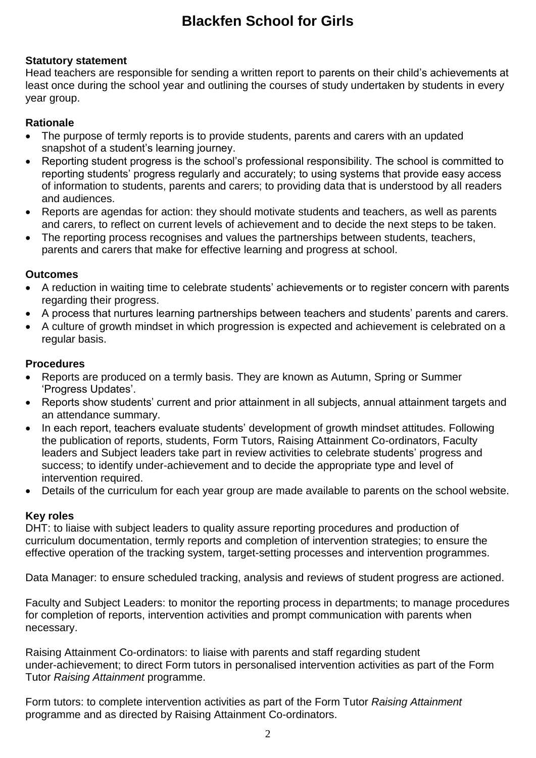## **Blackfen School for Girls**

#### **Statutory statement**

Head teachers are responsible for sending a written report to parents on their child's achievements at least once during the school year and outlining the courses of study undertaken by students in every year group.

#### **Rationale**

- The purpose of termly reports is to provide students, parents and carers with an updated snapshot of a student's learning journey.
- Reporting student progress is the school's professional responsibility. The school is committed to reporting students' progress regularly and accurately; to using systems that provide easy access of information to students, parents and carers; to providing data that is understood by all readers and audiences.
- Reports are agendas for action: they should motivate students and teachers, as well as parents and carers, to reflect on current levels of achievement and to decide the next steps to be taken.
- The reporting process recognises and values the partnerships between students, teachers, parents and carers that make for effective learning and progress at school.

#### **Outcomes**

- A reduction in waiting time to celebrate students' achievements or to register concern with parents regarding their progress.
- A process that nurtures learning partnerships between teachers and students' parents and carers.
- A culture of growth mindset in which progression is expected and achievement is celebrated on a regular basis.

#### **Procedures**

- Reports are produced on a termly basis. They are known as Autumn, Spring or Summer 'Progress Updates'.
- Reports show students' current and prior attainment in all subjects, annual attainment targets and an attendance summary.
- In each report, teachers evaluate students' development of growth mindset attitudes. Following the publication of reports, students, Form Tutors, Raising Attainment Co-ordinators, Faculty leaders and Subject leaders take part in review activities to celebrate students' progress and success; to identify under-achievement and to decide the appropriate type and level of intervention required.
- Details of the curriculum for each year group are made available to parents on the school website.

#### **Key roles**

DHT: to liaise with subject leaders to quality assure reporting procedures and production of curriculum documentation, termly reports and completion of intervention strategies; to ensure the effective operation of the tracking system, target-setting processes and intervention programmes.

Data Manager: to ensure scheduled tracking, analysis and reviews of student progress are actioned.

Faculty and Subject Leaders: to monitor the reporting process in departments; to manage procedures for completion of reports, intervention activities and prompt communication with parents when necessary.

Raising Attainment Co-ordinators: to liaise with parents and staff regarding student under-achievement; to direct Form tutors in personalised intervention activities as part of the Form Tutor *Raising Attainment* programme.

Form tutors: to complete intervention activities as part of the Form Tutor *Raising Attainment* programme and as directed by Raising Attainment Co-ordinators.